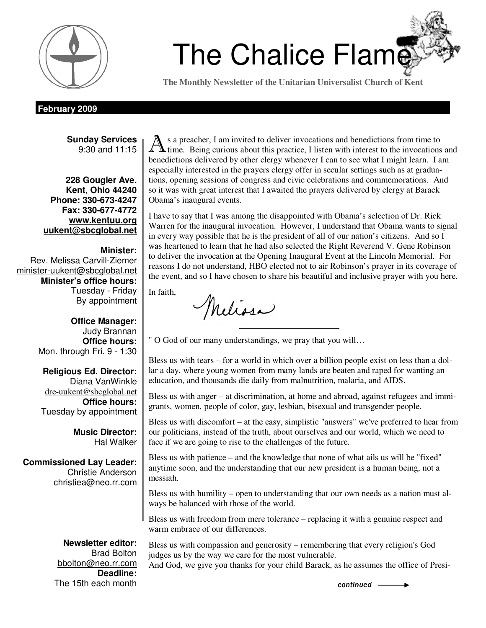

# Chalice Flame *You know, my faith is one that admits some doubt—Barack Obama* <sup>1</sup>The Chalice Flame

**The Monthly Newsletter of the Unitarian Universalist Church of Kent** 

## **February 2009**

**Sunday Services**  9:30 and 11:15

**228 Gougler Ave. Kent, Ohio 44240 Phone: 330-673-4247 Fax: 330-677-4772 www.kentuu.org uukent@sbcglobal.net**

**Minister:**  Rev. Melissa Carvill-Ziemer minister-uukent@sbcglobal.net **Minister's office hours:**  Tuesday - Friday By appointment

> **Office Manager:** Judy Brannan **Office hours:** Mon. through Fri. 9 - 1:30

**Religious Ed. Director:**  Diana VanWinkle dre-uukent@sbcglobal.net **Office hours:**  Tuesday by appointment

> **Music Director:**  Hal Walker

**Commissioned Lay Leader:**  Christie Anderson christiea@neo.rr.com

> **Newsletter editor:**  Brad Bolton

A s a preacher, I am invited to deliver invocations and benedictions from time to  $\Lambda$  time. Being curious about this practice, I listen with interest to the invocations and benedictions delivered by other clergy whenever I can to see what I might learn. I am especially interested in the prayers clergy offer in secular settings such as at graduations, opening sessions of congress and civic celebrations and commemorations. And so it was with great interest that I awaited the prayers delivered by clergy at Barack Obama's inaugural events.

I have to say that I was among the disappointed with Obama's selection of Dr. Rick Warren for the inaugural invocation. However, I understand that Obama wants to signal in every way possible that he is the president of all of our nation's citizens. And so I was heartened to learn that he had also selected the Right Reverend V. Gene Robinson to deliver the invocation at the Opening Inaugural Event at the Lincoln Memorial. For reasons I do not understand, HBO elected not to air Robinson's prayer in its coverage of the event, and so I have chosen to share his beautiful and inclusive prayer with you here.

In faith,

Melissa

" O God of our many understandings, we pray that you will…

Bless us with tears – for a world in which over a billion people exist on less than a dollar a day, where young women from many lands are beaten and raped for wanting an education, and thousands die daily from malnutrition, malaria, and AIDS.

Bless us with anger – at discrimination, at home and abroad, against refugees and immigrants, women, people of color, gay, lesbian, bisexual and transgender people.

Bless us with discomfort – at the easy, simplistic "answers" we've preferred to hear from our politicians, instead of the truth, about ourselves and our world, which we need to face if we are going to rise to the challenges of the future.

Bless us with patience – and the knowledge that none of what ails us will be "fixed" anytime soon, and the understanding that our new president is a human being, not a messiah.

Bless us with humility – open to understanding that our own needs as a nation must always be balanced with those of the world.

Bless us with freedom from mere tolerance – replacing it with a genuine respect and warm embrace of our differences.

bbolton@neo.rr.com **Deadline:**  The 15th each month continued  $\overline{a}$ 

Bless us with compassion and generosity – remembering that every religion's God judges us by the way we care for the most vulnerable.

And God, we give you thanks for your child Barack, as he assumes the office of Presi-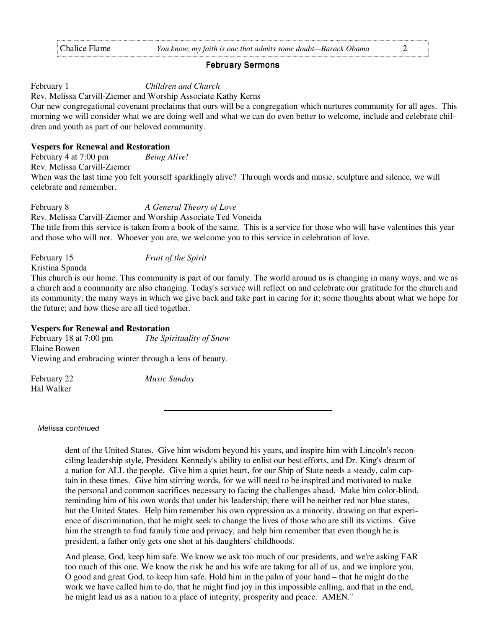### **February Sermons**

February 1 *Children and Church* 

Rev. Melissa Carvill-Ziemer and Worship Associate Kathy Kerns

Our new congregational covenant proclaims that ours will be a congregation which nurtures community for all ages. This morning we will consider what we are doing well and what we can do even better to welcome, include and celebrate children and youth as part of our beloved community.

# **Vespers for Renewal and Restoration**

February 4 at 7:00 pm *Being Alive!*  Rev. Melissa Carvill-Ziemer When was the last time you felt yourself sparklingly alive? Through words and music, sculpture and silence, we will celebrate and remember.

February 8 *A General Theory of Love* 

Rev. Melissa Carvill-Ziemer and Worship Associate Ted Voneida The title from this service is taken from a book of the same. This is a service for those who will have valentines this year and those who will not. Whoever you are, we welcome you to this service in celebration of love.

# February 15 *Fruit of the Spirit*

Kristina Spauda

This church is our home. This community is part of our family. The world around us is changing in many ways, and we as a church and a community are also changing. Today's service will reflect on and celebrate our gratitude for the church and its community; the many ways in which we give back and take part in caring for it; some thoughts about what we hope for the future; and how these are all tied together.

# **Vespers for Renewal and Restoration**

February 18 at 7:00 pm *The Spirituality of Snow* Elaine Bowen Viewing and embracing winter through a lens of beauty.

February 22 *Music Sunday*  Hal Walker

Melissa continued

dent of the United States. Give him wisdom beyond his years, and inspire him with Lincoln's reconciling leadership style, President Kennedy's ability to enlist our best efforts, and Dr. King's dream of a nation for ALL the people. Give him a quiet heart, for our Ship of State needs a steady, calm captain in these times. Give him stirring words, for we will need to be inspired and motivated to make the personal and common sacrifices necessary to facing the challenges ahead. Make him color-blind, reminding him of his own words that under his leadership, there will be neither red nor blue states, but the United States. Help him remember his own oppression as a minority, drawing on that experience of discrimination, that he might seek to change the lives of those who are still its victims. Give him the strength to find family time and privacy, and help him remember that even though he is president, a father only gets one shot at his daughters' childhoods.

And please, God, keep him safe. We know we ask too much of our presidents, and we're asking FAR too much of this one. We know the risk he and his wife are taking for all of us, and we implore you, O good and great God, to keep him safe. Hold him in the palm of your hand – that he might do the work we have called him to do, that he might find joy in this impossible calling, and that in the end, he might lead us as a nation to a place of integrity, prosperity and peace. AMEN."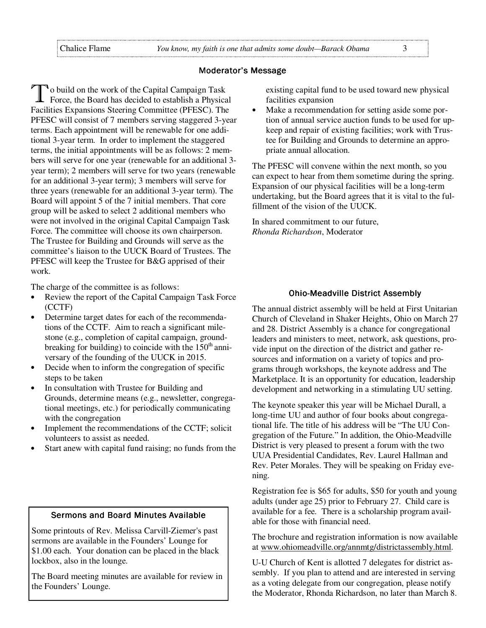# Moderator's Message

O build on the work of the Capital Campaign Task Force, the Board has decided to establish a Physical Facilities Expansions Steering Committee (PFESC). The PFESC will consist of 7 members serving staggered 3-year terms. Each appointment will be renewable for one additional 3-year term. In order to implement the staggered terms, the initial appointments will be as follows: 2 members will serve for one year (renewable for an additional 3 year term); 2 members will serve for two years (renewable for an additional 3-year term); 3 members will serve for three years (renewable for an additional 3-year term). The Board will appoint 5 of the 7 initial members. That core group will be asked to select 2 additional members who were not involved in the original Capital Campaign Task Force. The committee will choose its own chairperson. The Trustee for Building and Grounds will serve as the committee's liaison to the UUCK Board of Trustees. The PFESC will keep the Trustee for B&G apprised of their work.

The charge of the committee is as follows:

- Review the report of the Capital Campaign Task Force (CCTF)
- Determine target dates for each of the recommendations of the CCTF. Aim to reach a significant milestone (e.g., completion of capital campaign, groundbreaking for building) to coincide with the  $150<sup>th</sup>$  anniversary of the founding of the UUCK in 2015.
- Decide when to inform the congregation of specific steps to be taken
- In consultation with Trustee for Building and Grounds, determine means (e.g., newsletter, congregational meetings, etc.) for periodically communicating with the congregation
- Implement the recommendations of the CCTF; solicit volunteers to assist as needed.
- Start anew with capital fund raising; no funds from the

# Sermons and Board Minutes Available

Some printouts of Rev. Melissa Carvill-Ziemer's past sermons are available in the Founders' Lounge for \$1.00 each. Your donation can be placed in the black lockbox, also in the lounge.

The Board meeting minutes are available for review in the Founders' Lounge.

existing capital fund to be used toward new physical facilities expansion

• Make a recommendation for setting aside some portion of annual service auction funds to be used for upkeep and repair of existing facilities; work with Trustee for Building and Grounds to determine an appropriate annual allocation.

The PFESC will convene within the next month, so you can expect to hear from them sometime during the spring. Expansion of our physical facilities will be a long-term undertaking, but the Board agrees that it is vital to the fulfillment of the vision of the UUCK.

In shared commitment to our future, *Rhonda Richardson*, Moderator

### **Ohio-Meadville District Assembly**

The annual district assembly will be held at First Unitarian Church of Cleveland in Shaker Heights, Ohio on March 27 and 28. District Assembly is a chance for congregational leaders and ministers to meet, network, ask questions, provide input on the direction of the district and gather resources and information on a variety of topics and programs through workshops, the keynote address and The Marketplace. It is an opportunity for education, leadership development and networking in a stimulating UU setting.

The keynote speaker this year will be Michael Durall, a long-time UU and author of four books about congregational life. The title of his address will be "The UU Congregation of the Future." In addition, the Ohio-Meadville District is very pleased to present a forum with the two UUA Presidential Candidates, Rev. Laurel Hallman and Rev. Peter Morales. They will be speaking on Friday evening.

Registration fee is \$65 for adults, \$50 for youth and young adults (under age 25) prior to February 27. Child care is available for a fee. There is a scholarship program available for those with financial need.

The brochure and registration information is now available at www.ohiomeadville.org/annmtg/districtassembly.html.

U-U Church of Kent is allotted 7 delegates for district assembly. If you plan to attend and are interested in serving as a voting delegate from our congregation, please notify the Moderator, Rhonda Richardson, no later than March 8.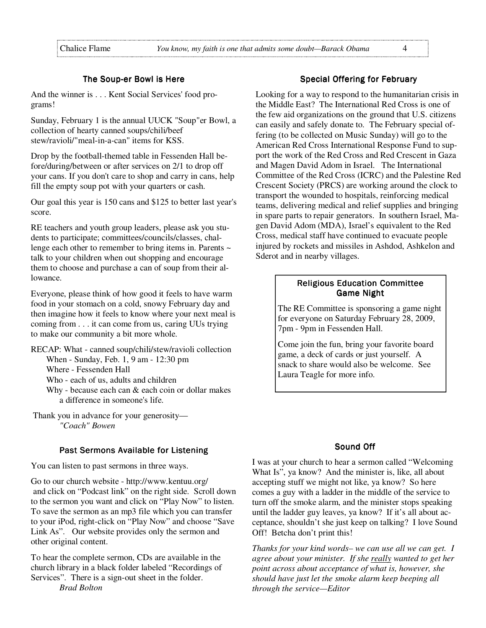# The Soup-er Bowl is Here

And the winner is . . . Kent Social Services' food programs!

Sunday, February 1 is the annual UUCK "Soup"er Bowl, a collection of hearty canned soups/chili/beef stew/ravioli/"meal-in-a-can" items for KSS.

Drop by the football-themed table in Fessenden Hall before/during/between or after services on 2/1 to drop off your cans. If you don't care to shop and carry in cans, help fill the empty soup pot with your quarters or cash.

Our goal this year is 150 cans and \$125 to better last year's score.

RE teachers and youth group leaders, please ask you students to participate; committees/councils/classes, challenge each other to remember to bring items in. Parents ~ talk to your children when out shopping and encourage them to choose and purchase a can of soup from their allowance.

Everyone, please think of how good it feels to have warm food in your stomach on a cold, snowy February day and then imagine how it feels to know where your next meal is coming from . . . it can come from us, caring UUs trying to make our community a bit more whole.

RECAP: What - canned soup/chili/stew/ravioli collection When - Sunday, Feb. 1, 9 am - 12:30 pm Where - Fessenden Hall Who - each of us, adults and children Why - because each can & each coin or dollar makes a difference in someone's life.

 Thank you in advance for your generosity— *"Coach" Bowen*

# Past Sermons Available for Listening

You can listen to past sermons in three ways.

Go to our church website - http://www.kentuu.org/ and click on "Podcast link" on the right side. Scroll down to the sermon you want and click on "Play Now" to listen. To save the sermon as an mp3 file which you can transfer to your iPod, right-click on "Play Now" and choose "Save Link As". Our website provides only the sermon and other original content.

To hear the complete sermon, CDs are available in the church library in a black folder labeled "Recordings of Services". There is a sign-out sheet in the folder. *Brad Bolton* 

# Special Offering for February

Looking for a way to respond to the humanitarian crisis in the Middle East? The International Red Cross is one of the few aid organizations on the ground that U.S. citizens can easily and safely donate to. The February special offering (to be collected on Music Sunday) will go to the American Red Cross International Response Fund to support the work of the Red Cross and Red Crescent in Gaza and Magen David Adom in Israel. The International Committee of the Red Cross (ICRC) and the Palestine Red Crescent Society (PRCS) are working around the clock to transport the wounded to hospitals, reinforcing medical teams, delivering medical and relief supplies and bringing in spare parts to repair generators. In southern Israel, Magen David Adom (MDA), Israel's equivalent to the Red Cross, medical staff have continued to evacuate people injured by rockets and missiles in Ashdod, Ashkelon and Sderot and in nearby villages.

# **Religious Education Committee** Game Night

The RE Committee is sponsoring a game night for everyone on Saturday February 28, 2009, 7pm - 9pm in Fessenden Hall.

Come join the fun, bring your favorite board game, a deck of cards or just yourself.A snack to share would also be welcome. See Laura Teagle for more info.

# Sound Off

I was at your church to hear a sermon called "Welcoming What Is", ya know? And the minister is, like, all about accepting stuff we might not like, ya know? So here comes a guy with a ladder in the middle of the service to turn off the smoke alarm, and the minister stops speaking until the ladder guy leaves, ya know? If it's all about acceptance, shouldn't she just keep on talking? I love Sound Off! Betcha don't print this!

*Thanks for your kind words– we can use all we can get. I agree about your minister. If she really wanted to get her point across about acceptance of what is, however, she should have just let the smoke alarm keep beeping all through the service—Editor*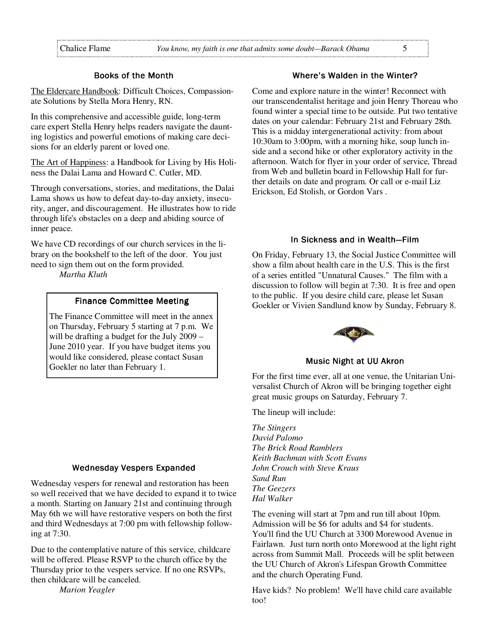#### Books of the Month

The Eldercare Handbook: Difficult Choices, Compassionate Solutions by Stella Mora Henry, RN.

In this comprehensive and accessible guide, long-term care expert Stella Henry helps readers navigate the daunting logistics and powerful emotions of making care decisions for an elderly parent or loved one.

The Art of Happiness: a Handbook for Living by His Holiness the Dalai Lama and Howard C. Cutler, MD.

Through conversations, stories, and meditations, the Dalai Lama shows us how to defeat day-to-day anxiety, insecurity, anger, and discouragement. He illustrates how to ride through life's obstacles on a deep and abiding source of inner peace.

We have CD recordings of our church services in the library on the bookshelf to the left of the door. You just need to sign them out on the form provided.

*Martha Kluth*

#### Finance Committee Meeting

The Finance Committee will meet in the annex on Thursday, February 5 starting at 7 p.m. We will be drafting a budget for the July 2009 – June 2010 year. If you have budget items you would like considered, please contact Susan Goekler no later than February 1.

#### Wednesday Vespers Expanded

Wednesday vespers for renewal and restoration has been so well received that we have decided to expand it to twice a month. Starting on January 21st and continuing through May 6th we will have restorative vespers on both the first and third Wednesdays at 7:00 pm with fellowship following at 7:30.

Due to the contemplative nature of this service, childcare will be offered. Please RSVP to the church office by the Thursday prior to the vespers service. If no one RSVPs, then childcare will be canceled.

*Marion Yeagler*

## Where's Walden in the Winter?

Come and explore nature in the winter! Reconnect with our transcendentalist heritage and join Henry Thoreau who found winter a special time to be outside. Put two tentative dates on your calendar: February 21st and February 28th. This is a midday intergenerational activity: from about 10:30am to 3:00pm, with a morning hike, soup lunch inside and a second hike or other exploratory activity in the afternoon. Watch for flyer in your order of service, Thread from Web and bulletin board in Fellowship Hall for further details on date and program. Or call or e-mail Liz Erickson, Ed Stolish, or Gordon Vars .

# In Sickness and in Wealth-Film

On Friday, February 13, the Social Justice Committee will show a film about health care in the U.S. This is the first of a series entitled "Unnatural Causes." The film with a discussion to follow will begin at 7:30. It is free and open to the public. If you desire child care, please let Susan Goekler or Vivien Sandlund know by Sunday, February 8.



#### Music Night at UU Akron

For the first time ever, all at one venue, the Unitarian Universalist Church of Akron will be bringing together eight great music groups on Saturday, February 7.

The lineup will include:

*The Stingers David Palomo The Brick Road Ramblers Keith Bachman with Scott Evans John Crouch with Steve Kraus Sand Run The Geezers Hal Walker*

The evening will start at 7pm and run till about 10pm. Admission will be \$6 for adults and \$4 for students. You'll find the UU Church at 3300 Morewood Avenue in Fairlawn. Just turn north onto Morewood at the light right across from Summit Mall. Proceeds will be split between the UU Church of Akron's Lifespan Growth Committee and the church Operating Fund.

Have kids? No problem! We'll have child care available too!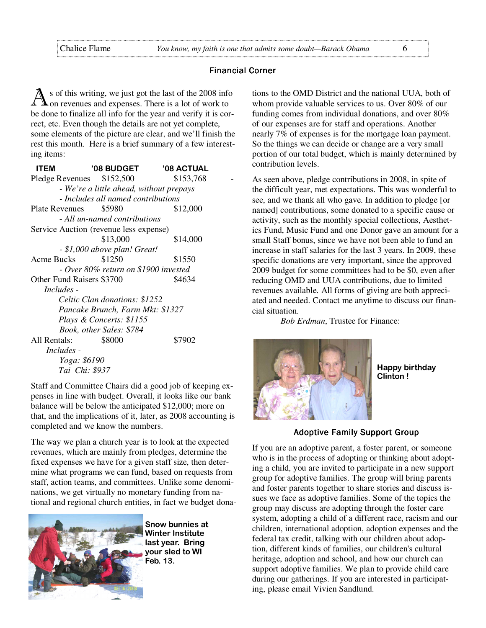#### **Financial Corner**

s of this writing, we just got the last of the 2008 info on revenues and expenses. There is a lot of work to be done to finalize all info for the year and verify it is correct, etc. Even though the details are not yet complete, some elements of the picture are clear, and we'll finish the rest this month. Here is a brief summary of a few interesting items:

| <b>ITEM</b>               | <b>'08 BUDGET</b>                       | <b>'08 ACTUAL</b> |  |
|---------------------------|-----------------------------------------|-------------------|--|
| Pledge Revenues \$152,500 |                                         | \$153,768         |  |
|                           | - We're a little ahead, without prepays |                   |  |
|                           | - Includes all named contributions      |                   |  |
| <b>Plate Revenues</b>     | \$5980                                  | \$12,000          |  |
|                           | - All un-named contributions            |                   |  |
|                           | Service Auction (revenue less expense)  |                   |  |
|                           | \$13,000                                | \$14,000          |  |
|                           | - \$1,000 above plan! Great!            |                   |  |
| Acme Bucks                | \$1250                                  | \$1550            |  |
|                           | - Over 80% return on \$1900 invested    |                   |  |
| Other Fund Raisers \$3700 | \$4634                                  |                   |  |
| <i>Includes -</i>         |                                         |                   |  |
|                           | Celtic Clan donations: \$1252           |                   |  |
|                           | Pancake Brunch, Farm Mkt: \$1327        |                   |  |
|                           | Plays & Concerts: \$1155                |                   |  |
|                           | Book, other Sales: \$784                |                   |  |
| All Rentals:              | \$8000                                  | \$7902            |  |
| <i>Includes -</i>         |                                         |                   |  |
| Yoga: \$6190              |                                         |                   |  |
|                           | Tai Chi: \$937                          |                   |  |

Staff and Committee Chairs did a good job of keeping expenses in line with budget. Overall, it looks like our bank balance will be below the anticipated \$12,000; more on that, and the implications of it, later, as 2008 accounting is completed and we know the numbers.

The way we plan a church year is to look at the expected revenues, which are mainly from pledges, determine the fixed expenses we have for a given staff size, then determine what programs we can fund, based on requests from staff, action teams, and committees. Unlike some denominations, we get virtually no monetary funding from national and regional church entities, in fact we budget dona-



Snow bunnies at Winter Institute last year. Bring your sled to WI Feb. 13.

tions to the OMD District and the national UUA, both of whom provide valuable services to us. Over 80% of our funding comes from individual donations, and over 80% of our expenses are for staff and operations. Another nearly 7% of expenses is for the mortgage loan payment. So the things we can decide or change are a very small portion of our total budget, which is mainly determined by contribution levels.

As seen above, pledge contributions in 2008, in spite of the difficult year, met expectations. This was wonderful to see, and we thank all who gave. In addition to pledge [or named] contributions, some donated to a specific cause or activity, such as the monthly special collections, Aesthetics Fund, Music Fund and one Donor gave an amount for a small Staff bonus, since we have not been able to fund an increase in staff salaries for the last 3 years. In 2009, these specific donations are very important, since the approved 2009 budget for some committees had to be \$0, even after reducing OMD and UUA contributions, due to limited revenues available. All forms of giving are both appreciated and needed. Contact me anytime to discuss our financial situation.

*Bob Erdman*, Trustee for Finance:



Happy birthday Clinton !

# **Adoptive Family Support Group**

If you are an adoptive parent, a foster parent, or someone who is in the process of adopting or thinking about adopting a child, you are invited to participate in a new support group for adoptive families. The group will bring parents and foster parents together to share stories and discuss issues we face as adoptive families. Some of the topics the group may discuss are adopting through the foster care system, adopting a child of a different race, racism and our children, international adoption, adoption expenses and the federal tax credit, talking with our children about adoption, different kinds of families, our children's cultural heritage, adoption and school, and how our church can support adoptive families. We plan to provide child care during our gatherings. If you are interested in participating, please email Vivien Sandlund.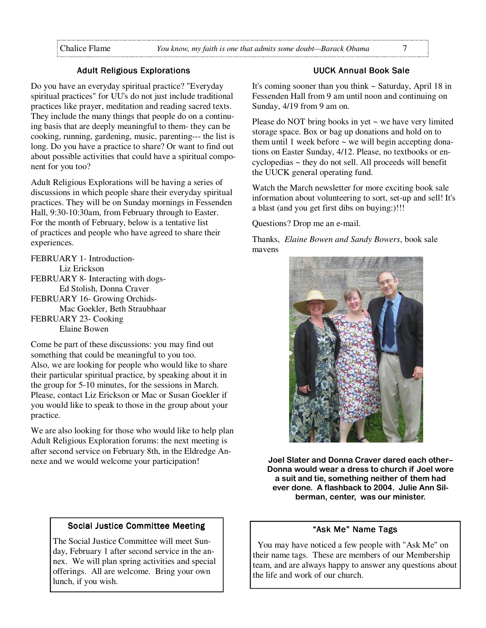#### **Adult Religious Explorations**

Do you have an everyday spiritual practice? "Everyday spiritual practices" for UU's do not just include traditional practices like prayer, meditation and reading sacred texts. They include the many things that people do on a continuing basis that are deeply meaningful to them- they can be cooking, running, gardening, music, parenting--- the list is long. Do you have a practice to share? Or want to find out about possible activities that could have a spiritual component for you too?

Adult Religious Explorations will be having a series of discussions in which people share their everyday spiritual practices. They will be on Sunday mornings in Fessenden Hall, 9:30-10:30am, from February through to Easter. For the month of February, below is a tentative list of practices and people who have agreed to share their experiences.

FEBRUARY 1- Introduction- Liz Erickson FEBRUARY 8- Interacting with dogs- Ed Stolish, Donna Craver FEBRUARY 16- Growing Orchids- Mac Goekler, Beth Straubhaar

FEBRUARY 23- Cooking Elaine Bowen

Come be part of these discussions: you may find out something that could be meaningful to you too. Also, we are looking for people who would like to share their particular spiritual practice, by speaking about it in the group for 5-10 minutes, for the sessions in March. Please, contact Liz Erickson or Mac or Susan Goekler if you would like to speak to those in the group about your practice.

We are also looking for those who would like to help plan Adult Religious Exploration forums: the next meeting is after second service on February 8th, in the Eldredge Annexe and we would welcome your participation!

#### **UUCK Annual Book Sale**

It's coming sooner than you think  $\sim$  Saturday, April 18 in Fessenden Hall from 9 am until noon and continuing on Sunday, 4/19 from 9 am on.

Please do NOT bring books in yet  $\sim$  we have very limited storage space. Box or bag up donations and hold on to them until 1 week before  $\sim$  we will begin accepting donations on Easter Sunday, 4/12. Please, no textbooks or encyclopedias ~ they do not sell. All proceeds will benefit the UUCK general operating fund.

Watch the March newsletter for more exciting book sale information about volunteering to sort, set-up and sell! It's a blast (and you get first dibs on buying:)!!!

Questions? Drop me an e-mail.

Thanks, *Elaine Bowen and Sandy Bowers*, book sale mavens



Joel Slater and Donna Craver dared each other– Donna would wear a dress to church if Joel wore a suit and tie, something neither of them had ever done. A flashback to 2004. Julie Ann Silberman, center, was our minister.

# Social Justice Committee Meeting

The Social Justice Committee will meet Sunday, February 1 after second service in the annex. We will plan spring activities and special offerings. All are welcome. Bring your own lunch, if you wish.

#### "Ask Me" Name Tags

 You may have noticed a few people with "Ask Me" on their name tags. These are members of our Membership team, and are always happy to answer any questions about the life and work of our church.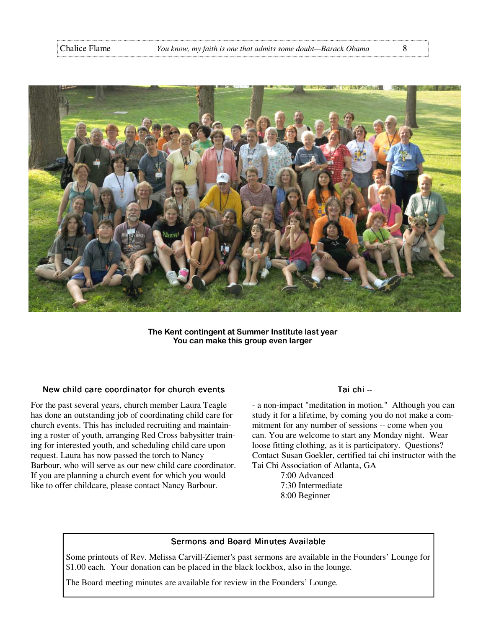

The Kent contingent at Summer Institute last year You can make this group even larger

#### New child care coordinator for church events

For the past several years, church member Laura Teagle has done an outstanding job of coordinating child care for church events. This has included recruiting and maintaining a roster of youth, arranging Red Cross babysitter training for interested youth, and scheduling child care upon request. Laura has now passed the torch to Nancy Barbour, who will serve as our new child care coordinator. If you are planning a church event for which you would like to offer childcare, please contact Nancy Barbour.

#### Tai chi --

- a non-impact "meditation in motion." Although you can study it for a lifetime, by coming you do not make a commitment for any number of sessions -- come when you can. You are welcome to start any Monday night. Wear loose fitting clothing, as it is participatory. Questions? Contact Susan Goekler, certified tai chi instructor with the Tai Chi Association of Atlanta, GA

 7:00 Advanced 7:30 Intermediate 8:00 Beginner

#### Sermons and Board Minutes Available

Some printouts of Rev. Melissa Carvill-Ziemer's past sermons are available in the Founders' Lounge for \$1.00 each. Your donation can be placed in the black lockbox, also in the lounge.

The Board meeting minutes are available for review in the Founders' Lounge.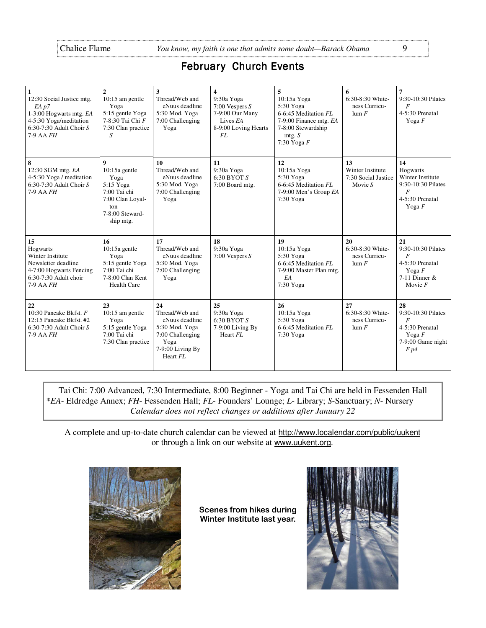# February Church Events

| $\mathbf{1}$<br>12:30 Social Justice mtg.<br>EA p7<br>1-3:00 Hogwarts mtg. EA<br>4-5:30 Yoga/meditation<br>$6:30-7:30$ Adult Choir S<br>$7-9$ AA $FH$ | $\overline{2}$<br>10:15 am gentle<br>Yoga<br>5:15 gentle Yoga<br>7-8:30 Tai Chi F<br>7:30 Clan practice<br>S                        | 3<br>Thread/Web and<br>eNuus deadline<br>5:30 Mod. Yoga<br>7:00 Challenging<br>Yoga                                  | $\overline{\mathbf{4}}$<br>9:30a Yoga<br>7:00 Vespers $S$<br>7-9:00 Our Many<br>Lives EA<br>8-9:00 Loving Hearts<br>FL | 5<br>10:15a Yoga<br>5:30 Yoga<br>6-6:45 Meditation FL<br>7-9:00 Finance mtg. EA<br>7-8:00 Stewardship<br>mtg. S<br>7:30 Yoga $F$ | 6<br>6:30-8:30 White-<br>ness Curricu-<br>$\lim F$                | $\overline{7}$<br>9:30-10:30 Pilates<br>$\overline{F}$<br>4-5:30 Prenatal<br>Yoga $F$                       |
|-------------------------------------------------------------------------------------------------------------------------------------------------------|-------------------------------------------------------------------------------------------------------------------------------------|----------------------------------------------------------------------------------------------------------------------|------------------------------------------------------------------------------------------------------------------------|----------------------------------------------------------------------------------------------------------------------------------|-------------------------------------------------------------------|-------------------------------------------------------------------------------------------------------------|
| 8<br>12:30 SGM mtg. EA<br>4-5:30 Yoga / meditation<br>6:30-7:30 Adult Choir $S$<br>$7-9$ AA $FH$                                                      | $\boldsymbol{9}$<br>$10:15a$ gentle<br>Yoga<br>5:15 Yoga<br>7:00 Tai chi<br>7:00 Clan Loyal-<br>ton<br>7-8:00 Steward-<br>ship mtg. | 10<br>Thread/Web and<br>eNuus deadline<br>5:30 Mod. Yoga<br>7:00 Challenging<br>Yoga                                 | 11<br>9:30a Yoga<br>$6:30$ BYOT $S$<br>7:00 Board mtg.                                                                 | 12<br>10:15a Yoga<br>5:30 Yoga<br>6-6:45 Meditation FL<br>7-9:00 Men's Group EA<br>7:30 Yoga                                     | 13<br><b>Winter Institute</b><br>7:30 Social Justice<br>Movie $S$ | 14<br>Hogwarts<br>Winter Institute<br>9:30-10:30 Pilates<br>$\boldsymbol{F}$<br>4-5:30 Prenatal<br>Yoga $F$ |
| 15<br>Hogwarts<br><b>Winter Institute</b><br>Newsletter deadline<br>4-7:00 Hogwarts Fencing<br>6:30-7:30 Adult choir<br>7-9 AA FH                     | 16<br>$10:15a$ gentle<br>Yoga<br>5:15 gentle Yoga<br>7:00 Tai chi<br>7-8:00 Clan Kent<br>Health Care                                | 17<br>Thread/Web and<br>eNuus deadline<br>5:30 Mod. Yoga<br>7:00 Challenging<br>Yoga                                 | 18<br>9:30a Yoga<br>7:00 Vespers $S$                                                                                   | 19<br>10:15a Yoga<br>5:30 Yoga<br>6-6:45 Meditation FL<br>7-9:00 Master Plan mtg.<br>EA<br>7:30 Yoga                             | 20<br>6:30-8:30 White-<br>ness Curricu-<br>$\lim F$               | 21<br>9:30-10:30 Pilates<br>$\boldsymbol{F}$<br>4-5:30 Prenatal<br>Yoga $F$<br>7-11 Dinner $&$<br>Movie $F$ |
| 22<br>10:30 Pancake Bkfst. F<br>12:15 Pancake Bkfst. #2<br>$6:30-7:30$ Adult Choir S<br>$7-9$ AA $FH$                                                 | 23<br>$10:15$ am gentle<br>Yoga<br>5:15 gentle Yoga<br>7:00 Tai chi<br>7:30 Clan practice                                           | 24<br>Thread/Web and<br>eNuus deadline<br>5:30 Mod. Yoga<br>7:00 Challenging<br>Yoga<br>7-9:00 Living By<br>Heart FL | 25<br>9:30a Yoga<br>$6:30$ BYOT $S$<br>7-9:00 Living By<br>Heart FL                                                    | 26<br>10:15a Yoga<br>5:30 Yoga<br>6-6:45 Meditation FL<br>7:30 Yoga                                                              | 27<br>6:30-8:30 White-<br>ness Curricu-<br>$\lim F$               | 28<br>9:30-10:30 Pilates<br>$\overline{F}$<br>4-5:30 Prenatal<br>Yoga $F$<br>7-9:00 Game night<br>F p4      |

Tai Chi: 7:00 Advanced, 7:30 Intermediate, 8:00 Beginner - Yoga and Tai Chi are held in Fessenden Hall \**EA*- Eldredge Annex; *FH*- Fessenden Hall; *FL*- Founders' Lounge; *L*- Library; *S*-Sanctuary; *N*- Nursery *Calendar does not reflect changes or additions after January 22*

A complete and up-to-date church calendar can be viewed at http://www.localendar.com/public/uukent or through a link on our website at www.uukent.org.



Scenes from hikes during Winter Institute last year.